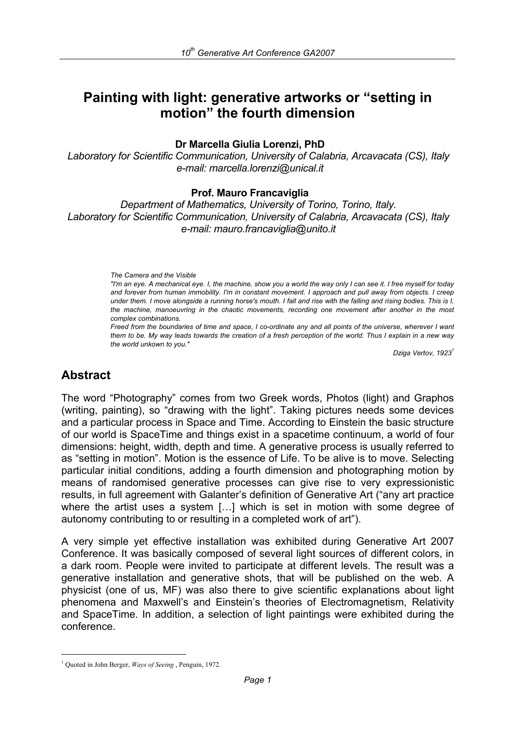# **Painting with light: generative artworks or "setting in motion" the fourth dimension**

**Dr Marcella Giulia Lorenzi, PhD** 

*Laboratory for Scientific Communication, University of Calabria, Arcavacata (CS), Italy e-mail: marcella.lorenzi@unical.it*

#### **Prof. Mauro Francaviglia**

*Department of Mathematics, University of Torino, Torino, Italy. Laboratory for Scientific Communication, University of Calabria, Arcavacata (CS), Italy e-mail: mauro.francaviglia@unito.it* 

#### *The Camera and the Visible*

*"I'm an eye. A mechanical eye. I, the machine, show you a world the way only I can see it. I free myself for today and forever from human immobility. I'm in constant movement. I approach and pull away from objects. I creep under them. I move alongside a running horse's mouth. I fall and rise with the falling and rising bodies. This is I, the machine, manoeuvring in the chaotic movements, recording one movement after another in the most complex combinations.* 

*Freed from the boundaries of time and space, I co-ordinate any and all points of the universe, wherever I want them to be. My way leads towards the creation of a fresh perception of the world. Thus I explain in a new way the world unkown to you."* 

*Dziga Vertov, 1923<sup>1</sup>*

#### **Abstract**

i

The word "Photography" comes from two Greek words, Photos (light) and Graphos (writing, painting), so "drawing with the light". Taking pictures needs some devices and a particular process in Space and Time. According to Einstein the basic structure of our world is SpaceTime and things exist in a spacetime continuum, a world of four dimensions: height, width, depth and time. A generative process is usually referred to as "setting in motion". Motion is the essence of Life. To be alive is to move. Selecting particular initial conditions, adding a fourth dimension and photographing motion by means of randomised generative processes can give rise to very expressionistic results, in full agreement with Galanter's definition of Generative Art ("any art practice where the artist uses a system […] which is set in motion with some degree of autonomy contributing to or resulting in a completed work of art").

A very simple yet effective installation was exhibited during Generative Art 2007 Conference. It was basically composed of several light sources of different colors, in a dark room. People were invited to participate at different levels. The result was a generative installation and generative shots, that will be published on the web. A physicist (one of us, MF) was also there to give scientific explanations about light phenomena and Maxwell's and Einstein's theories of Electromagnetism, Relativity and SpaceTime. In addition, a selection of light paintings were exhibited during the conference.

<sup>&</sup>lt;sup>1</sup> Quoted in John Berger, *Ways of Seeing*, Penguin, 1972.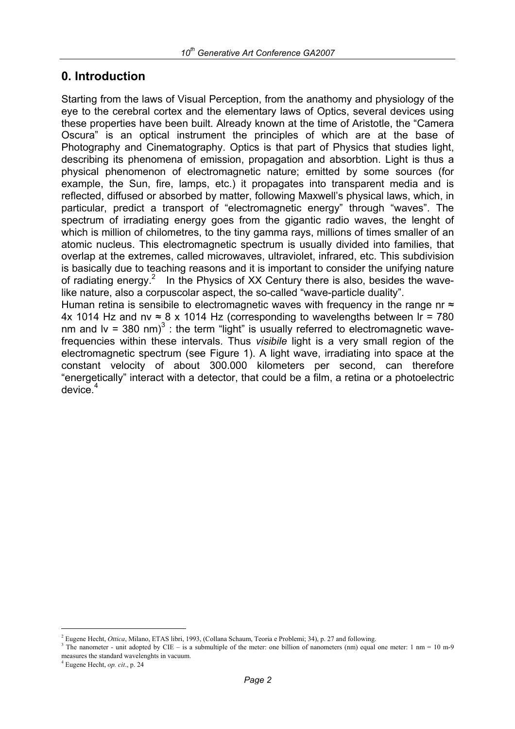### **0. Introduction**

Starting from the laws of Visual Perception, from the anathomy and physiology of the eye to the cerebral cortex and the elementary laws of Optics, several devices using these properties have been built. Already known at the time of Aristotle, the "Camera Oscura" is an optical instrument the principles of which are at the base of Photography and Cinematography. Optics is that part of Physics that studies light, describing its phenomena of emission, propagation and absorbtion. Light is thus a physical phenomenon of electromagnetic nature; emitted by some sources (for example, the Sun, fire, lamps, etc.) it propagates into transparent media and is reflected, diffused or absorbed by matter, following Maxwell's physical laws, which, in particular, predict a transport of "electromagnetic energy" through "waves". The spectrum of irradiating energy goes from the gigantic radio waves, the lenght of which is million of chilometres, to the tiny gamma rays, millions of times smaller of an atomic nucleus. This electromagnetic spectrum is usually divided into families, that overlap at the extremes, called microwaves, ultraviolet, infrared, etc. This subdivision is basically due to teaching reasons and it is important to consider the unifying nature of radiating energy.<sup>2</sup> In the Physics of XX Century there is also, besides the wavelike nature, also a corpuscolar aspect, the so-called "wave-particle duality". Human retina is sensibile to electromagnetic waves with frequency in the range nr  $\approx$ 

4x 1014 Hz and nv  $\approx$  8 x 1014 Hz (corresponding to wavelengths between Ir = 780 nm and Iv = 380 nm) $3$ : the term "light" is usually referred to electromagnetic wavefrequencies within these intervals. Thus *visibile* light is a very small region of the electromagnetic spectrum (see Figure 1). A light wave, irradiating into space at the constant velocity of about 300.000 kilometers per second, can therefore "energetically" interact with a detector, that could be a film, a retina or a photoelectric device. $4$ 

<sup>&</sup>lt;sup>2</sup> Eugene Hecht, *Ottica*, Milano, ETAS libri, 1993, (Collana Schaum, Teoria e Problemi; 34), p. 27 and following.  $3 \text{ Tb}$ 

<sup>&</sup>lt;sup>3</sup> The nanometer - unit adopted by CIE – is a submultiple of the meter: one billion of nanometers (nm) equal one meter: 1 nm = 10 m-9 measures the standard wavelenghts in vacuum.

 $4$  Eugene Hecht, *op. cit.*, p. 24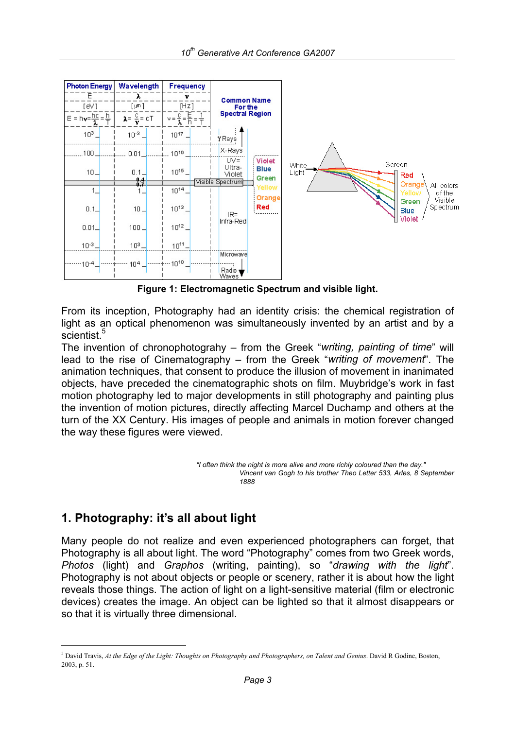

**Figure 1: Electromagnetic Spectrum and visible light.** 

From its inception, Photography had an identity crisis: the chemical registration of light as an optical phenomenon was simultaneously invented by an artist and by a scientist.<sup>5</sup>

The invention of chronophotograhy – from the Greek "*writing, painting of time*" will lead to the rise of Cinematography – from the Greek "*writing of movement*". The animation techniques, that consent to produce the illusion of movement in inanimated objects, have preceded the cinematographic shots on film. Muybridge's work in fast motion photography led to major developments in still photography and painting plus the invention of motion pictures, directly affecting Marcel Duchamp and others at the turn of the XX Century. His images of people and animals in motion forever changed the way these figures were viewed.

> *"I often think the night is more alive and more richly coloured than the day." Vincent van Gogh to his brother Theo Letter 533, Arles, 8 September 1888*

## **1. Photography: it's all about light**

i

Many people do not realize and even experienced photographers can forget, that Photography is all about light. The word "Photography" comes from two Greek words, *Photos* (light) and *Graphos* (writing, painting), so "*drawing with the light*". Photography is not about objects or people or scenery, rather it is about how the light reveals those things. The action of light on a light-sensitive material (film or electronic devices) creates the image. An object can be lighted so that it almost disappears or so that it is virtually three dimensional.

<sup>5</sup> David Travis, *At the Edge of the Light: Thoughts on Photography and Photographers, on Talent and Genius*. David R Godine, Boston, 2003, p. 51.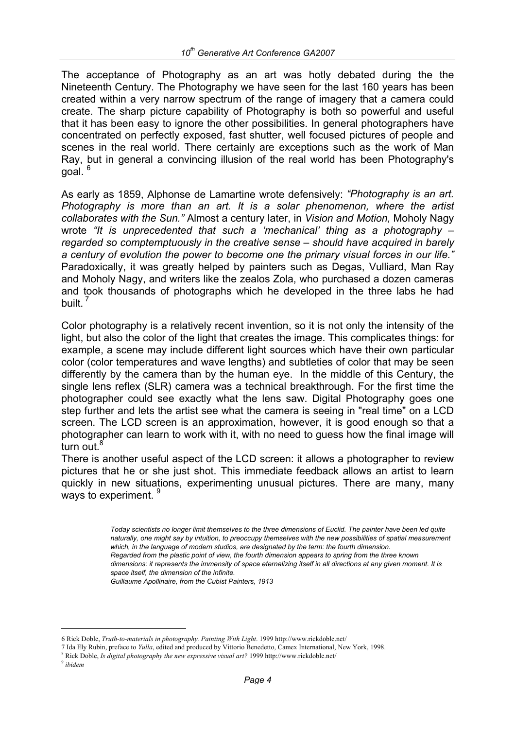The acceptance of Photography as an art was hotly debated during the the Nineteenth Century. The Photography we have seen for the last 160 years has been created within a very narrow spectrum of the range of imagery that a camera could create. The sharp picture capability of Photography is both so powerful and useful that it has been easy to ignore the other possibilities. In general photographers have concentrated on perfectly exposed, fast shutter, well focused pictures of people and scenes in the real world. There certainly are exceptions such as the work of Man Ray, but in general a convincing illusion of the real world has been Photography's qoal.<sup>6</sup>

As early as 1859, Alphonse de Lamartine wrote defensively: *"Photography is an art. Photography is more than an art. It is a solar phenomenon, where the artist collaborates with the Sun."* Almost a century later, in *Vision and Motion,* Moholy Nagy wrote *"It is unprecedented that such a 'mechanical' thing as a photography – regarded so comptemptuously in the creative sense – should have acquired in barely a century of evolution the power to become one the primary visual forces in our life."* Paradoxically, it was greatly helped by painters such as Degas, Vulliard, Man Ray and Moholy Nagy, and writers like the zealos Zola, who purchased a dozen cameras and took thousands of photographs which he developed in the three labs he had built.<sup>7</sup>

Color photography is a relatively recent invention, so it is not only the intensity of the light, but also the color of the light that creates the image. This complicates things: for example, a scene may include different light sources which have their own particular color (color temperatures and wave lengths) and subtleties of color that may be seen differently by the camera than by the human eye. In the middle of this Century, the single lens reflex (SLR) camera was a technical breakthrough. For the first time the photographer could see exactly what the lens saw. Digital Photography goes one step further and lets the artist see what the camera is seeing in "real time" on a LCD screen. The LCD screen is an approximation, however, it is good enough so that a photographer can learn to work with it, with no need to guess how the final image will turn out. $8$ 

There is another useful aspect of the LCD screen: it allows a photographer to review pictures that he or she just shot. This immediate feedback allows an artist to learn quickly in new situations, experimenting unusual pictures. There are many, many ways to experiment.

> *Today scientists no longer limit themselves to the three dimensions of Euclid. The painter have been led quite naturally, one might say by intuition, to preoccupy themselves with the new possibilities of spatial measurement which, in the language of modern studios, are designated by the term: the fourth dimension. Regarded from the plastic point of view, the fourth dimension appears to spring from the three known dimensions: it represents the immensity of space eternalizing itself in all directions at any given moment. It is space itself, the dimension of the infinite. Guillaume Apollinaire, from the Cubist Painters, 1913*

<sup>6</sup> Rick Doble, *Truth-to-materials in photography. Painting With Light*. 1999 http://www.rickdoble.net/

<sup>7</sup> Ida Ely Rubin, preface to *Yulla*, edited and produced by Vittorio Benedetto, Camex International, New York, 1998.

<sup>8</sup> Rick Doble, *Is digital photography the new expressive visual art?* 1999 http://www.rickdoble.net/ 9 *ibidem*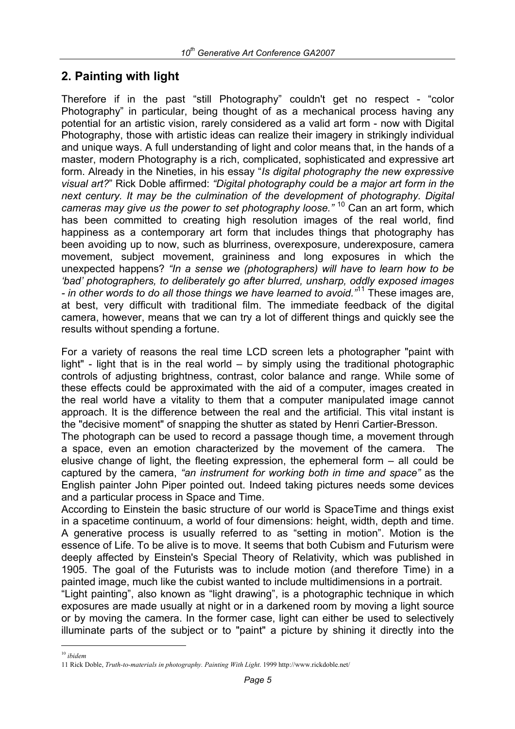### **2. Painting with light**

Therefore if in the past "still Photography" couldn't get no respect - "color Photography" in particular, being thought of as a mechanical process having any potential for an artistic vision, rarely considered as a valid art form - now with Digital Photography, those with artistic ideas can realize their imagery in strikingly individual and unique ways. A full understanding of light and color means that, in the hands of a master, modern Photography is a rich, complicated, sophisticated and expressive art form. Already in the Nineties, in his essay "*Is digital photography the new expressive visual art?*" Rick Doble affirmed: *"Digital photography could be a major art form in the next century. It may be the culmination of the development of photography. Digital cameras may give us the power to set photography loose."* 10 Can an art form, which has been committed to creating high resolution images of the real world, find happiness as a contemporary art form that includes things that photography has been avoiding up to now, such as blurriness, overexposure, underexposure, camera movement, subject movement, graininess and long exposures in which the unexpected happens? *"In a sense we (photographers) will have to learn how to be 'bad' photographers, to deliberately go after blurred, unsharp, oddly exposed images - in other words to do all those things we have learned to avoid."*11 These images are, at best, very difficult with traditional film. The immediate feedback of the digital camera, however, means that we can try a lot of different things and quickly see the results without spending a fortune.

For a variety of reasons the real time LCD screen lets a photographer "paint with light" - light that is in the real world – by simply using the traditional photographic controls of adjusting brightness, contrast, color balance and range. While some of these effects could be approximated with the aid of a computer, images created in the real world have a vitality to them that a computer manipulated image cannot approach. It is the difference between the real and the artificial. This vital instant is the "decisive moment" of snapping the shutter as stated by Henri Cartier-Bresson.

The photograph can be used to record a passage though time, a movement through a space, even an emotion characterized by the movement of the camera. The elusive change of light, the fleeting expression, the ephemeral form – all could be captured by the camera, *"an instrument for working both in time and space"* as the English painter John Piper pointed out. Indeed taking pictures needs some devices and a particular process in Space and Time.

According to Einstein the basic structure of our world is SpaceTime and things exist in a spacetime continuum, a world of four dimensions: height, width, depth and time. A generative process is usually referred to as "setting in motion". Motion is the essence of Life. To be alive is to move. It seems that both Cubism and Futurism were deeply affected by Einstein's Special Theory of Relativity, which was published in 1905. The goal of the Futurists was to include motion (and therefore Time) in a painted image, much like the cubist wanted to include multidimensions in a portrait.

"Light painting", also known as "light drawing", is a photographic technique in which exposures are made usually at night or in a darkened room by moving a light source or by moving the camera. In the former case, light can either be used to selectively illuminate parts of the subject or to "paint" a picture by shining it directly into the

i

<sup>10</sup> *ibidem*

<sup>11</sup> Rick Doble, *Truth-to-materials in photography. Painting With Light*. 1999 http://www.rickdoble.net/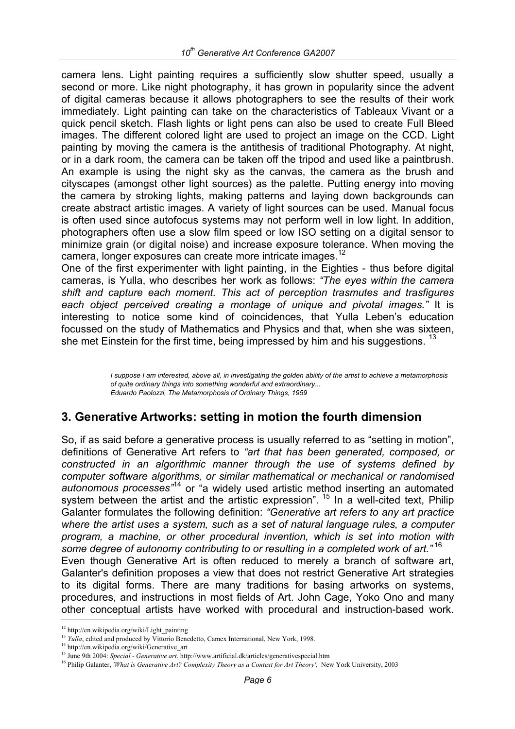camera lens. Light painting requires a sufficiently slow shutter speed, usually a second or more. Like night photography, it has grown in popularity since the advent of digital cameras because it allows photographers to see the results of their work immediately. Light painting can take on the characteristics of Tableaux Vivant or a quick pencil sketch. Flash lights or light pens can also be used to create Full Bleed images. The different colored light are used to project an image on the CCD. Light painting by moving the camera is the antithesis of traditional Photography. At night, or in a dark room, the camera can be taken off the tripod and used like a paintbrush. An example is using the night sky as the canvas, the camera as the brush and cityscapes (amongst other light sources) as the palette. Putting energy into moving the camera by stroking lights, making patterns and laying down backgrounds can create abstract artistic images. A variety of light sources can be used. Manual focus is often used since autofocus systems may not perform well in low light. In addition, photographers often use a slow film speed or low ISO setting on a digital sensor to minimize grain (or digital noise) and increase exposure tolerance. When moving the camera, longer exposures can create more intricate images.<sup>12</sup>

One of the first experimenter with light painting, in the Eighties - thus before digital cameras, is Yulla, who describes her work as follows: *"The eyes within the camera shift and capture each moment. This act of perception trasmutes and trasfigures each object perceived creating a montage of unique and pivotal images."* It is interesting to notice some kind of coincidences, that Yulla Leben's education focussed on the study of Mathematics and Physics and that, when she was sixteen, she met Einstein for the first time, being impressed by him and his suggestions.  $13$ 

> *I suppose I am interested, above all, in investigating the golden ability of the artist to achieve a metamorphosis of quite ordinary things into something wonderful and extraordinary... Eduardo Paolozzi, The Metamorphosis of Ordinary Things, 1959*

#### **3. Generative Artworks: setting in motion the fourth dimension**

So, if as said before a generative process is usually referred to as "setting in motion", definitions of Generative Art refers to *"art that has been generated, composed, or constructed in an algorithmic manner through the use of systems defined by computer software algorithms, or similar mathematical or mechanical or randomised autonomous processes"*14 or "a widely used artistic method inserting an automated system between the artist and the artistic expression". <sup>15</sup> In a well-cited text, Philip Galanter formulates the following definition: *"Generative art refers to any art practice where the artist uses a system, such as a set of natural language rules, a computer program, a machine, or other procedural invention, which is set into motion with some degree of autonomy contributing to or resulting in a completed work of art."* <sup>16</sup> Even though Generative Art is often reduced to merely a branch of software art, Galanter's definition proposes a view that does not restrict Generative Art strategies to its digital forms. There are many traditions for basing artworks on systems, procedures, and instructions in most fields of Art. John Cage, Yoko Ono and many other conceptual artists have worked with procedural and instruction-based work.

<sup>&</sup>lt;sup>12</sup> http://en.wikipedia.org/wiki/Light\_painting<br><sup>13</sup> *Yulla*, edited and produced by Vittorio Benedetto, Camex International, New York, 1998.

<sup>&</sup>lt;sup>14</sup> http://en.wikipedia.org/wiki/Generative\_art<br><sup>15</sup> June 9th 2004: Special - Generative art. http://www.artificial.dk/articles/generativespecial.htm<br><sup>16</sup> Philip Galanter, *'What is Generative Art? Complexity Theory as a*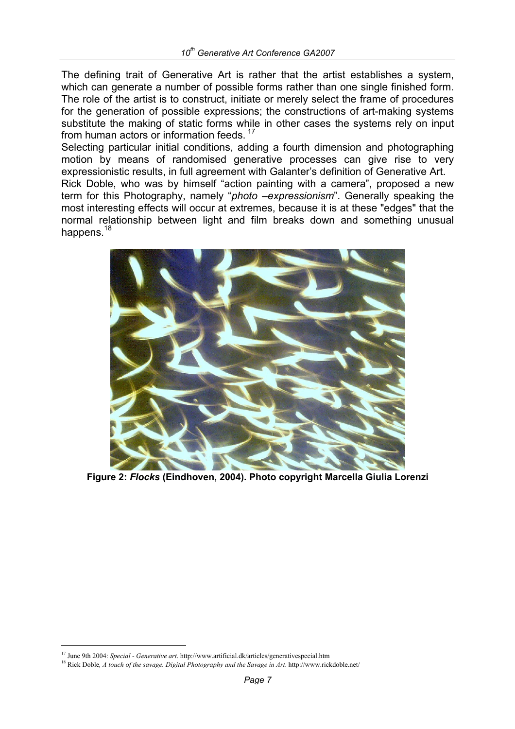The defining trait of Generative Art is rather that the artist establishes a system, which can generate a number of possible forms rather than one single finished form. The role of the artist is to construct, initiate or merely select the frame of procedures for the generation of possible expressions; the constructions of art-making systems substitute the making of static forms while in other cases the systems rely on input from human actors or information feeds.<sup>17</sup>

Selecting particular initial conditions, adding a fourth dimension and photographing motion by means of randomised generative processes can give rise to very expressionistic results, in full agreement with Galanter's definition of Generative Art.

Rick Doble, who was by himself "action painting with a camera", proposed a new term for this Photography, namely "*photo –expressionism*". Generally speaking the most interesting effects will occur at extremes, because it is at these "edges" that the normal relationship between light and film breaks down and something unusual happens.<sup>18</sup>



**Figure 2:** *Flocks* **(Eindhoven, 2004). Photo copyright Marcella Giulia Lorenzi** 

i

<sup>&</sup>lt;sup>17</sup> June 9th 2004: *Special - Generative art*. http://www.artificial.dk/articles/generativespecial.htm <sup>18</sup> Rick Doble, *A touch of the savage. Digital Photography and the Savage in Art*. http://www.rickdoble.net/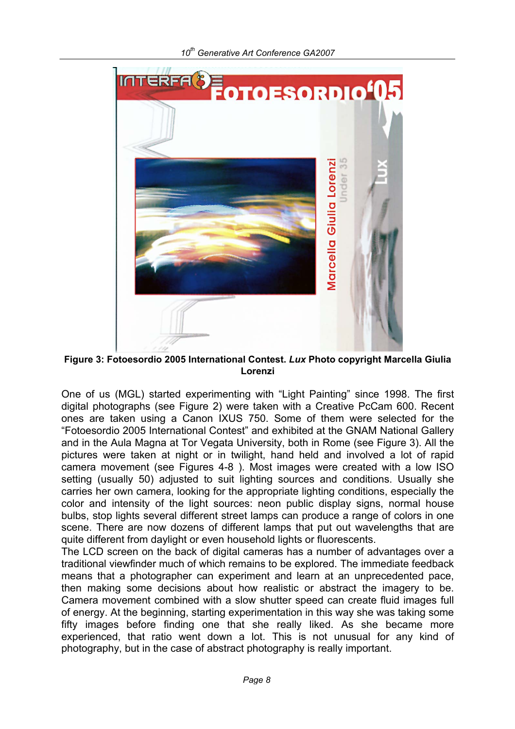

**Figure 3: Fotoesordio 2005 International Contest.** *Lux* **Photo copyright Marcella Giulia Lorenzi** 

One of us (MGL) started experimenting with "Light Painting" since 1998. The first digital photographs (see Figure 2) were taken with a Creative PcCam 600. Recent ones are taken using a Canon IXUS 750. Some of them were selected for the "Fotoesordio 2005 International Contest" and exhibited at the GNAM National Gallery and in the Aula Magna at Tor Vegata University, both in Rome (see Figure 3). All the pictures were taken at night or in twilight, hand held and involved a lot of rapid camera movement (see Figures 4-8 ). Most images were created with a low ISO setting (usually 50) adjusted to suit lighting sources and conditions. Usually she carries her own camera, looking for the appropriate lighting conditions, especially the color and intensity of the light sources: neon public display signs, normal house bulbs, stop lights several different street lamps can produce a range of colors in one scene. There are now dozens of different lamps that put out wavelengths that are quite different from daylight or even household lights or fluorescents.

The LCD screen on the back of digital cameras has a number of advantages over a traditional viewfinder much of which remains to be explored. The immediate feedback means that a photographer can experiment and learn at an unprecedented pace, then making some decisions about how realistic or abstract the imagery to be. Camera movement combined with a slow shutter speed can create fluid images full of energy. At the beginning, starting experimentation in this way she was taking some fifty images before finding one that she really liked. As she became more experienced, that ratio went down a lot. This is not unusual for any kind of photography, but in the case of abstract photography is really important.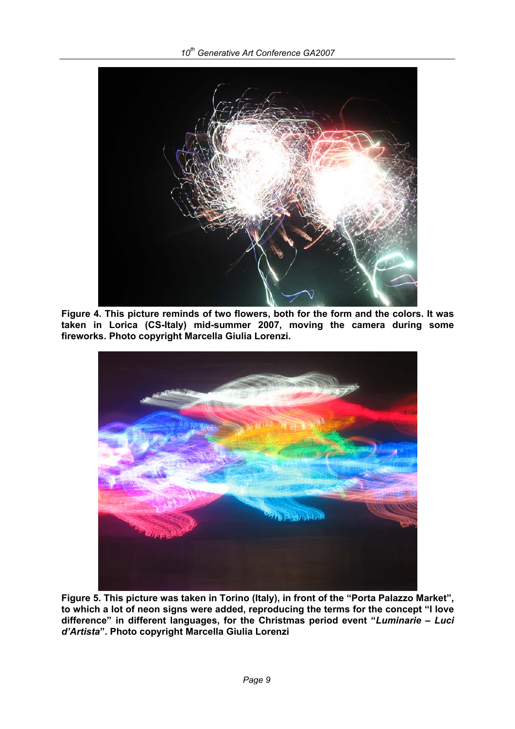

**Figure 4. This picture reminds of two flowers, both for the form and the colors. It was taken in Lorica (CS-Italy) mid-summer 2007, moving the camera during some fireworks. Photo copyright Marcella Giulia Lorenzi.** 



**Figure 5. This picture was taken in Torino (Italy), in front of the "Porta Palazzo Market", to which a lot of neon signs were added, reproducing the terms for the concept "I love difference" in different languages, for the Christmas period event "***Luminarie – Luci d'Artista***". Photo copyright Marcella Giulia Lorenzi**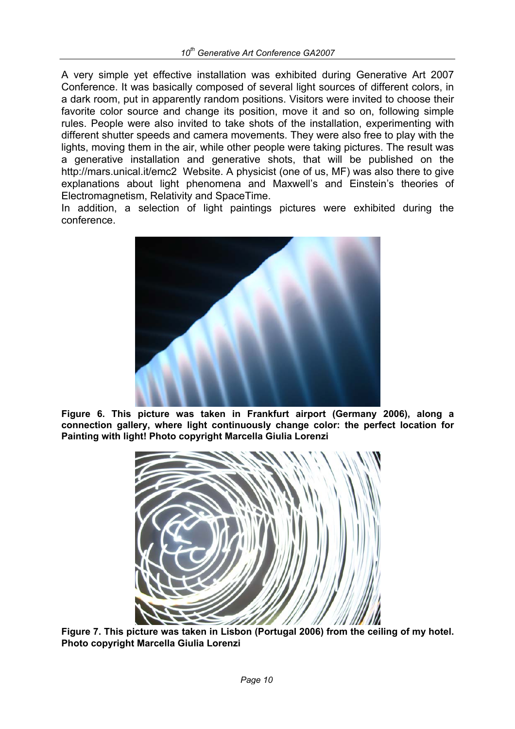A very simple yet effective installation was exhibited during Generative Art 2007 Conference. It was basically composed of several light sources of different colors, in a dark room, put in apparently random positions. Visitors were invited to choose their favorite color source and change its position, move it and so on, following simple rules. People were also invited to take shots of the installation, experimenting with different shutter speeds and camera movements. They were also free to play with the lights, moving them in the air, while other people were taking pictures. The result was a generative installation and generative shots, that will be published on the http://mars.unical.it/emc2 Website. A physicist (one of us, MF) was also there to give explanations about light phenomena and Maxwell's and Einstein's theories of Electromagnetism, Relativity and SpaceTime.

In addition, a selection of light paintings pictures were exhibited during the conference.



**Figure 6. This picture was taken in Frankfurt airport (Germany 2006), along a connection gallery, where light continuously change color: the perfect location for Painting with light! Photo copyright Marcella Giulia Lorenzi** 



**Figure 7. This picture was taken in Lisbon (Portugal 2006) from the ceiling of my hotel. Photo copyright Marcella Giulia Lorenzi**